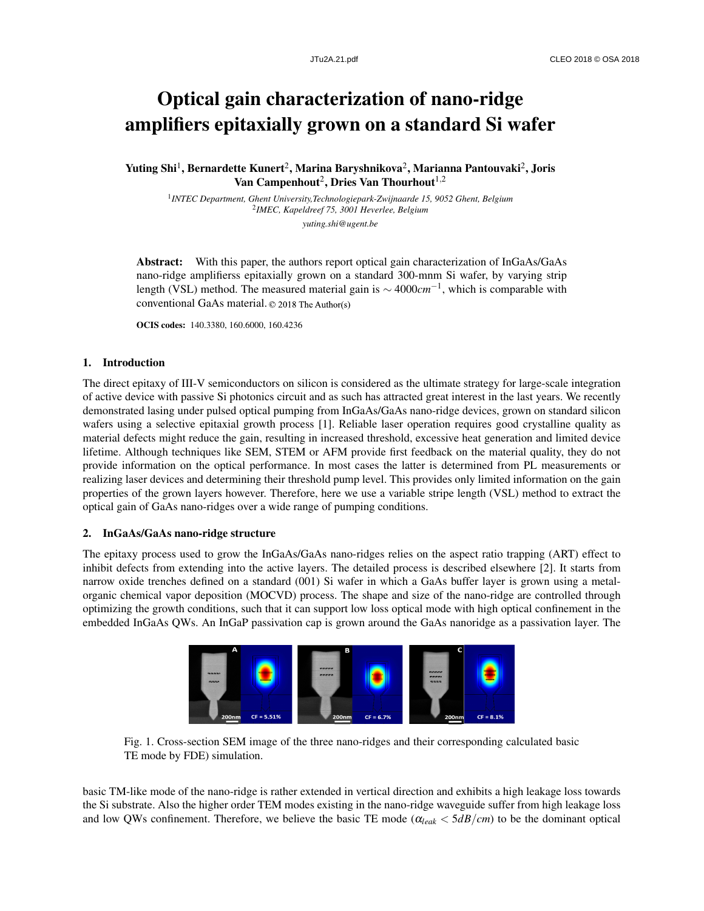# Optical gain characterization of nano-ridge amplifiers epitaxially grown on a standard Si wafer

Yuting Shi<sup>1</sup>, Bernardette Kunert<sup>2</sup>, Marina Baryshnikova<sup>2</sup>, Marianna Pantouvaki<sup>2</sup>, Joris Van Campenhout $^2$ , Dries Van Thourhout $^{1,2}$ 

1 *INTEC Department, Ghent University,Technologiepark-Zwijnaarde 15, 9052 Ghent, Belgium* 2 *IMEC, Kapeldreef 75, 3001 Heverlee, Belgium yuting.shi@ugent.be*

Abstract: With this paper, the authors report optical gain characterization of InGaAs/GaAs nano-ridge amplifierss epitaxially grown on a standard 300-mnm Si wafer, by varying strip length (VSL) method. The measured material gain is ∼ 4000*cm*−<sup>1</sup> , which is comparable with conventional GaAs material. ©2018TheAuthor(s)

OCIS codes: 140.3380, 160.6000, 160.4236

### 1. Introduction

The direct epitaxy of III-V semiconductors on silicon is considered as the ultimate strategy for large-scale integration of active device with passive Si photonics circuit and as such has attracted great interest in the last years. We recently demonstrated lasing under pulsed optical pumping from InGaAs/GaAs nano-ridge devices, grown on standard silicon wafers using a selective epitaxial growth process [1]. Reliable laser operation requires good crystalline quality as material defects might reduce the gain, resulting in increased threshold, excessive heat generation and limited device lifetime. Although techniques like SEM, STEM or AFM provide first feedback on the material quality, they do not provide information on the optical performance. In most cases the latter is determined from PL measurements or realizing laser devices and determining their threshold pump level. This provides only limited information on the gain properties of the grown layers however. Therefore, here we use a variable stripe length (VSL) method to extract the optical gain of GaAs nano-ridges over a wide range of pumping conditions.

### 2. InGaAs/GaAs nano-ridge structure

The epitaxy process used to grow the InGaAs/GaAs nano-ridges relies on the aspect ratio trapping (ART) effect to inhibit defects from extending into the active layers. The detailed process is described elsewhere [2]. It starts from narrow oxide trenches defined on a standard (001) Si wafer in which a GaAs buffer layer is grown using a metalorganic chemical vapor deposition (MOCVD) process. The shape and size of the nano-ridge are controlled through optimizing the growth conditions, such that it can support low loss optical mode with high optical confinement in the embedded InGaAs QWs. An InGaP passivation cap is grown around the GaAs nanoridge as a passivation layer. The



Fig. 1. Cross-section SEM image of the three nano-ridges and their corresponding calculated basic TE mode by FDE) simulation.

basic TM-like mode of the nano-ridge is rather extended in vertical direction and exhibits a high leakage loss towards the Si substrate. Also the higher order TEM modes existing in the nano-ridge waveguide suffer from high leakage loss and low QWs confinement. Therefore, we believe the basic TE mode (α*leak* < 5*dB*/*cm*) to be the dominant optical